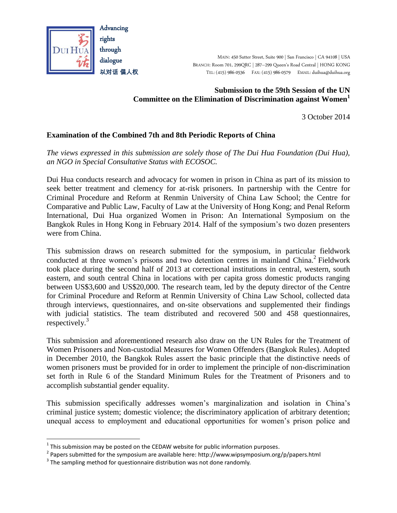

MAIN: 450 Sutter Street, Suite 900 | San Francisco | CA 94108 | USA BRANCH: Room 701, 299QRC | 287–299 Queen's Road Central | HONG KONG TEL: (415) 986-0536 FAX: (415) 986-0579 EMAIL: duihua@duihua.org

#### **Submission to the 59th Session of the UN Committee on the Elimination of Discrimination against Women<sup>1</sup>**

3 October 2014

## **Examination of the Combined 7th and 8th Periodic Reports of China**

*The views expressed in this submission are solely those of The Dui Hua Foundation (Dui Hua), an NGO in Special Consultative Status with ECOSOC.*

Dui Hua conducts research and advocacy for women in prison in China as part of its mission to seek better treatment and clemency for at-risk prisoners. In partnership with the Centre for Criminal Procedure and Reform at Renmin University of China Law School; the Centre for Comparative and Public Law, Faculty of Law at the University of Hong Kong; and Penal Reform International, Dui Hua organized Women in Prison: An International Symposium on the Bangkok Rules in Hong Kong in February 2014. Half of the symposium's two dozen presenters were from China.

This submission draws on research submitted for the symposium, in particular fieldwork conducted at three women's prisons and two detention centres in mainland China.<sup>2</sup> Fieldwork took place during the second half of 2013 at correctional institutions in central, western, south eastern, and south central China in locations with per capita gross domestic products ranging between US\$3,600 and US\$20,000. The research team, led by the deputy director of the Centre for Criminal Procedure and Reform at Renmin University of China Law School, collected data through interviews, questionnaires, and on-site observations and supplemented their findings with judicial statistics. The team distributed and recovered 500 and 458 questionnaires, respectively.<sup>3</sup>

This submission and aforementioned research also draw on the UN Rules for the Treatment of Women Prisoners and Non-custodial Measures for Women Offenders (Bangkok Rules). Adopted in December 2010, the Bangkok Rules assert the basic principle that the distinctive needs of women prisoners must be provided for in order to implement the principle of non-discrimination set forth in Rule 6 of the Standard Minimum Rules for the Treatment of Prisoners and to accomplish substantial gender equality.

This submission specifically addresses women's marginalization and isolation in China's criminal justice system; domestic violence; the discriminatory application of arbitrary detention; unequal access to employment and educational opportunities for women's prison police and

 $^1$  This submission may be posted on the CEDAW website for public information purposes.

<sup>&</sup>lt;sup>2</sup> Papers submitted for the symposium are available here: http://www.wipsymposium.org/p/papers.html

 $3$  The sampling method for questionnaire distribution was not done randomly.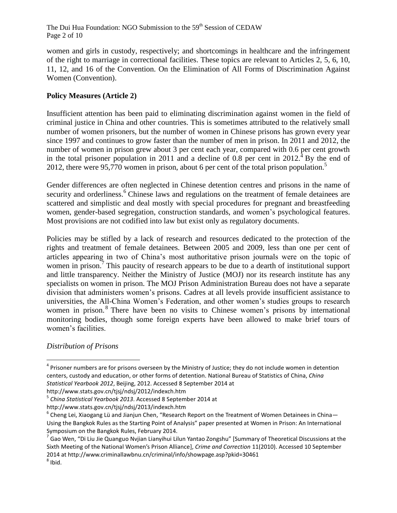The Dui Hua Foundation: NGO Submission to the 59<sup>th</sup> Session of CEDAW Page 2 of 10

women and girls in custody, respectively; and shortcomings in healthcare and the infringement of the right to marriage in correctional facilities. These topics are relevant to Articles 2, 5, 6, 10, 11, 12, and 16 of the Convention. On the Elimination of All Forms of Discrimination Against Women (Convention).

# **Policy Measures (Article 2)**

Insufficient attention has been paid to eliminating discrimination against women in the field of criminal justice in China and other countries. This is sometimes attributed to the relatively small number of women prisoners, but the number of women in Chinese prisons has grown every year since 1997 and continues to grow faster than the number of men in prison. In 2011 and 2012, the number of women in prison grew about 3 per cent each year, compared with 0.6 per cent growth in the total prisoner population in 2011 and a decline of 0.8 per cent in  $2012<sup>4</sup>$  By the end of 2012, there were 95,770 women in prison, about 6 per cent of the total prison population.<sup>5</sup>

Gender differences are often neglected in Chinese detention centres and prisons in the name of security and orderliness.<sup>6</sup> Chinese laws and regulations on the treatment of female detainees are scattered and simplistic and deal mostly with special procedures for pregnant and breastfeeding women, gender-based segregation, construction standards, and women's psychological features. Most provisions are not codified into law but exist only as regulatory documents.

Policies may be stifled by a lack of research and resources dedicated to the protection of the rights and treatment of female detainees. Between 2005 and 2009, less than one per cent of articles appearing in two of China's most authoritative prison journals were on the topic of women in prison.<sup>7</sup> This paucity of research appears to be due to a dearth of institutional support and little transparency. Neither the Ministry of Justice (MOJ) nor its research institute has any specialists on women in prison. The MOJ Prison Administration Bureau does not have a separate division that administers women's prisons. Cadres at all levels provide insufficient assistance to universities, the All-China Women's Federation, and other women's studies groups to research women in prison.<sup>8</sup> There have been no visits to Chinese women's prisons by international monitoring bodies, though some foreign experts have been allowed to make brief tours of women's facilities.

## *Distribution of Prisons*

 $\overline{a}$ 

http://www.stats.gov.cn/tjsj/ndsj/2012/indexch.htm

<sup>&</sup>lt;sup>4</sup> Prisoner numbers are for prisons overseen by the Ministry of Justice; they do not include women in detention centers, custody and education, or other forms of detention. National Bureau of Statistics of China, *China Statistical Yearbook 2012*, Beijing, 2012. Accessed 8 September 2014 at

<sup>5</sup> *China Statistical Yearbook 2013*. Accessed 8 September 2014 at

http://www.stats.gov.cn/tjsj/ndsj/2013/indexch.htm

 $^6$  Cheng Lei, Xiaogang Lü and Jianjun Chen, "Research Report on the Treatment of Women Detainees in China— Using the Bangkok Rules as the Starting Point of Analysis" paper presented at Women in Prison: An International Symposium on the Bangkok Rules, February 2014.

<sup>&</sup>lt;sup>7</sup> Gao Wen, "Di Liu Jie Quanguo Nvjian Lianyihui Lilun Yantao Zongshu" [Summary of Theoretical Discussions at the Sixth Meeting of the National Women's Prison Alliance], *Crime and Correction* 11(2010). Accessed 10 September 2014 at http://www.criminallawbnu.cn/criminal/info/showpage.asp?pkid=30461  $^8$  Ibid.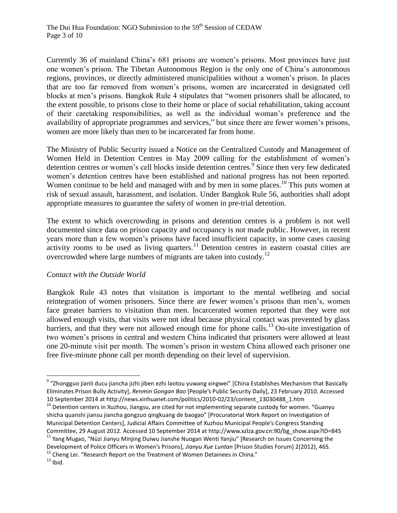Currently 36 of mainland China's 681 prisons are women's prisons. Most provinces have just one women's prison. The Tibetan Autonomous Region is the only one of China's autonomous regions, provinces, or directly administered municipalities without a women's prison. In places that are too far removed from women's prisons, women are incarcerated in designated cell blocks at men's prisons. Bangkok Rule 4 stipulates that "women prisoners shall be allocated, to the extent possible, to prisons close to their home or place of social rehabilitation, taking account of their caretaking responsibilities, as well as the individual woman's preference and the availability of appropriate programmes and services," but since there are fewer women's prisons, women are more likely than men to be incarcerated far from home.

The Ministry of Public Security issued a Notice on the Centralized Custody and Management of Women Held in Detention Centres in May 2009 calling for the establishment of women's detention centres or women's cell blocks inside detention centres. 9 Since then very few dedicated women's detention centres have been established and national progress has not been reported. Women continue to be held and managed with and by men in some places.<sup>10</sup> This puts women at risk of sexual assault, harassment, and isolation. Under Bangkok Rule 56, authorities shall adopt appropriate measures to guarantee the safety of women in pre-trial detention.

The extent to which overcrowding in prisons and detention centres is a problem is not well documented since data on prison capacity and occupancy is not made public. However, in recent years more than a few women's prisons have faced insufficient capacity, in some cases causing activity rooms to be used as living quarters.<sup>11</sup> Detention centres in eastern coastal cities are overcrowded where large numbers of migrants are taken into custody.<sup>12</sup>

#### *Contact with the Outside World*

Bangkok Rule 43 notes that visitation is important to the mental wellbeing and social reintegration of women prisoners. Since there are fewer women's prisons than men's, women face greater barriers to visitation than men. Incarcerated women reported that they were not allowed enough visits, that visits were not ideal because physical contact was prevented by glass barriers, and that they were not allowed enough time for phone calls. <sup>13</sup> On-site investigation of two women's prisons in central and western China indicated that prisoners were allowed at least one 20-minute visit per month. The women's prison in western China allowed each prisoner one free five-minute phone call per month depending on their level of supervision.

<sup>&</sup>lt;sup>9</sup> "Zhongguo jianli ducu jiancha jizhi jiben ezhi laotou yuwang xingwei" [China Establishes Mechanism that Basically Eliminates Prison Bully Activity], *Renmin Gongan Bao* [People's Public Security Daily], 23 February 2010. Accessed 10 September 2014 at http://news.xinhuanet.com/politics/2010-02/23/content\_13030488\_1.htm

 $10$  Detention centers in Xuzhou, Jiangsu, are cited for not implementing separate custody for women. "Guanyu shicha quanshi jiansu jiancha gongzuo qingkuang de baogao" [Procuratorial Work Report on Investigation of Municipal Detention Centers], Judicial Affairs Committee of Xuzhou Municipal People's Congress Standing Committee, 29 August 2012. Accessed 10 September 2014 at http://www.xzlza.gov.cn:90/bg\_show.aspx?ID=845 <sup>11</sup> Yang Mugao, "Nüzi Jianyu Minjing Duiwu Jianshe Nuogan Wenti Yanjiu" [Research on Issues Concerning the

Development of Police Officers in Women's Prisons], *Jianyu Xue Luntan* [Prison Studies Forum] 2(2012), 465.

 $12$  Cheng Lei. "Research Report on the Treatment of Women Detainees in China."

 $13$  Ibid.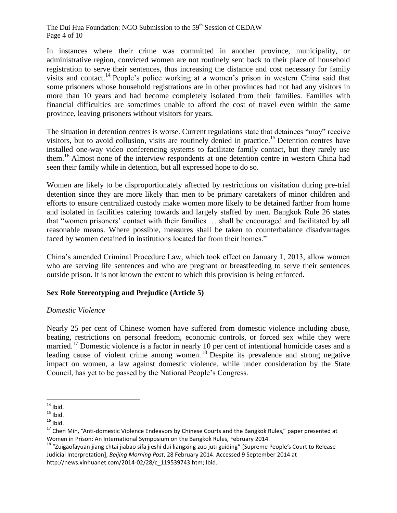The Dui Hua Foundation: NGO Submission to the 59<sup>th</sup> Session of CEDAW Page 4 of 10

In instances where their crime was committed in another province, municipality, or administrative region, convicted women are not routinely sent back to their place of household registration to serve their sentences, thus increasing the distance and cost necessary for family visits and contact.<sup>14</sup> People's police working at a women's prison in western China said that some prisoners whose household registrations are in other provinces had not had any visitors in more than 10 years and had become completely isolated from their families. Families with financial difficulties are sometimes unable to afford the cost of travel even within the same province, leaving prisoners without visitors for years.

The situation in detention centres is worse. Current regulations state that detainees "may" receive visitors, but to avoid collusion, visits are routinely denied in practice. <sup>15</sup> Detention centres have installed one-way video conferencing systems to facilitate family contact, but they rarely use them.<sup>16</sup> Almost none of the interview respondents at one detention centre in western China had seen their family while in detention, but all expressed hope to do so.

Women are likely to be disproportionately affected by restrictions on visitation during pre-trial detention since they are more likely than men to be primary caretakers of minor children and efforts to ensure centralized custody make women more likely to be detained farther from home and isolated in facilities catering towards and largely staffed by men. Bangkok Rule 26 states that "women prisoners' contact with their families … shall be encouraged and facilitated by all reasonable means. Where possible, measures shall be taken to counterbalance disadvantages faced by women detained in institutions located far from their homes."

China's amended Criminal Procedure Law, which took effect on January 1, 2013, allow women who are serving life sentences and who are pregnant or breastfeeding to serve their sentences outside prison. It is not known the extent to which this provision is being enforced.

## **Sex Role Stereotyping and Prejudice (Article 5)**

## *Domestic Violence*

Nearly 25 per cent of Chinese women have suffered from domestic violence including abuse, beating, restrictions on personal freedom, economic controls, or forced sex while they were married.<sup>17</sup> Domestic violence is a factor in nearly 10 per cent of intentional homicide cases and a leading cause of violent crime among women.<sup>18</sup> Despite its prevalence and strong negative impact on women, a law against domestic violence, while under consideration by the State Council, has yet to be passed by the National People's Congress.

 $\overline{a}$  $14$  Ibid.

 $15$  Ibid.

 $16$  Ibid.

<sup>&</sup>lt;sup>17</sup> Chen Min, "Anti-domestic Violence Endeavors by Chinese Courts and the Bangkok Rules," paper presented at Women in Prison: An International Symposium on the Bangkok Rules, February 2014.

<sup>&</sup>lt;sup>18</sup> "Zuigaofayuan jiang chtai jiabao sifa jieshi dui liangxing zuo juti guiding" [Supreme People's Court to Release Judicial Interpretation], *Beijing Morning Post*, 28 February 2014. Accessed 9 September 2014 at http://news.xinhuanet.com/2014-02/28/c\_119539743.htm; Ibid.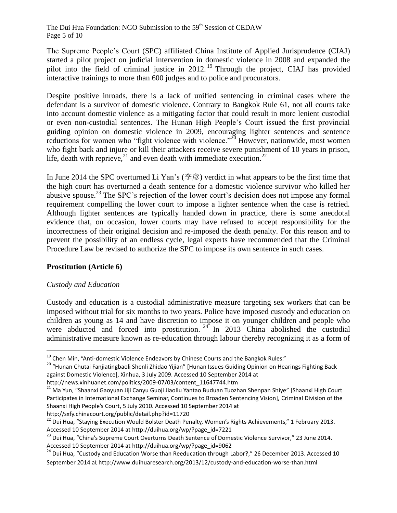The Dui Hua Foundation: NGO Submission to the 59<sup>th</sup> Session of CEDAW Page 5 of 10

The Supreme People's Court (SPC) affiliated China Institute of Applied Jurisprudence (CIAJ) started a pilot project on judicial intervention in domestic violence in 2008 and expanded the pilot into the field of criminal justice in 2012. <sup>19</sup> Through the project, CIAJ has provided interactive trainings to more than 600 judges and to police and procurators.

Despite positive inroads, there is a lack of unified sentencing in criminal cases where the defendant is a survivor of domestic violence. Contrary to Bangkok Rule 61, not all courts take into account domestic violence as a mitigating factor that could result in more lenient custodial or even non-custodial sentences. The Hunan High People's Court issued the first provincial guiding opinion on domestic violence in 2009, encouraging lighter sentences and sentence reductions for women who "fight violence with violence."<sup>20</sup> However, nationwide, most women who fight back and injure or kill their attackers receive severe punishment of 10 years in prison, life, death with reprieve,<sup>21</sup> and even death with immediate execution.<sup>22</sup>

In June 2014 the SPC overturned Li Yan's (李彦) verdict in what appears to be the first time that the high court has overturned a death sentence for a domestic violence survivor who killed her abusive spouse.<sup>23</sup> The SPC's rejection of the lower court's decision does not impose any formal requirement compelling the lower court to impose a lighter sentence when the case is retried. Although lighter sentences are typically handed down in practice, there is some anecdotal evidence that, on occasion, lower courts may have refused to accept responsibility for the incorrectness of their original decision and re-imposed the death penalty. For this reason and to prevent the possibility of an endless cycle, legal experts have recommended that the Criminal Procedure Law be revised to authorize the SPC to impose its own sentence in such cases.

## **Prostitution (Article 6)**

## *Custody and Education*

 $\overline{a}$ 

Custody and education is a custodial administrative measure targeting sex workers that can be imposed without trial for six months to two years. Police have imposed custody and education on children as young as 14 and have discretion to impose it on younger children and people who were abducted and forced into prostitution.  $24$  In 2013 China abolished the custodial administrative measure known as re-education through labour thereby recognizing it as a form of

http://sxfy.chinacourt.org/public/detail.php?id=11720

 $19$  Chen Min, "Anti-domestic Violence Endeavors by Chinese Courts and the Bangkok Rules."

<sup>&</sup>lt;sup>20</sup> "Hunan Chutai Fanjiatingbaoli Shenli Zhidao Yijian" [Hunan Issues Guiding Opinion on Hearings Fighting Back against Domestic Violence], Xinhua, 3 July 2009. Accessed 10 September 2014 at

http://news.xinhuanet.com/politics/2009-07/03/content\_11647744.htm

<sup>&</sup>lt;sup>21</sup> Ma Yun, "Shaanxi Gaoyuan Jiji Canyu Guoji Jiaoliu Yantao Buduan Tuozhan Shenpan Shiye" [Shaanxi High Court Participates in International Exchange Seminar, Continues to Broaden Sentencing Vision], Criminal Division of the Shaanxi High People's Court, 5 July 2010. Accessed 10 September 2014 at

<sup>&</sup>lt;sup>22</sup> Dui Hua, "Staying Execution Would Bolster Death Penalty, Women's Rights Achievements," 1 February 2013. Accessed 10 September 2014 at http://duihua.org/wp/?page\_id=7221

<sup>&</sup>lt;sup>23</sup> Dui Hua, "China's Supreme Court Overturns Death Sentence of Domestic Violence Survivor," 23 June 2014. Accessed 10 September 2014 at http://duihua.org/wp/?page\_id=9062

<sup>24</sup> Dui Hua, "Custody and Education Worse than Reeducation through Labor?," 26 December 2013. Accessed 10 September 2014 at http://www.duihuaresearch.org/2013/12/custody-and-education-worse-than.html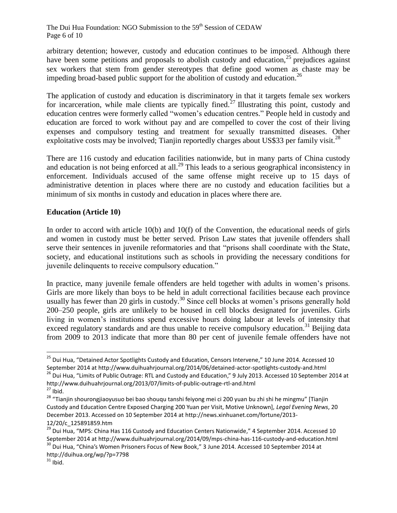The Dui Hua Foundation: NGO Submission to the 59<sup>th</sup> Session of CEDAW Page 6 of 10

arbitrary detention; however, custody and education continues to be imposed. Although there have been some petitions and proposals to abolish custody and education,<sup>25</sup> prejudices against sex workers that stem from gender stereotypes that define good women as chaste may be impeding broad-based public support for the abolition of custody and education.<sup>26</sup>

The application of custody and education is discriminatory in that it targets female sex workers for incarceration, while male clients are typically fined.<sup>27</sup> Illustrating this point, custody and education centres were formerly called "women's education centres." People held in custody and education are forced to work without pay and are compelled to cover the cost of their living expenses and compulsory testing and treatment for sexually transmitted diseases. Other exploitative costs may be involved; Tianjin reportedly charges about US\$33 per family visit.<sup>28</sup>

There are 116 custody and education facilities nationwide, but in many parts of China custody and education is not being enforced at all.<sup>29</sup> This leads to a serious geographical inconsistency in enforcement. Individuals accused of the same offense might receive up to 15 days of administrative detention in places where there are no custody and education facilities but a minimum of six months in custody and education in places where there are.

# **Education (Article 10)**

In order to accord with article 10(b) and 10(f) of the Convention, the educational needs of girls and women in custody must be better served. Prison Law states that juvenile offenders shall serve their sentences in juvenile reformatories and that "prisons shall coordinate with the State, society, and educational institutions such as schools in providing the necessary conditions for juvenile delinquents to receive compulsory education."

In practice, many juvenile female offenders are held together with adults in women's prisons. Girls are more likely than boys to be held in adult correctional facilities because each province usually has fewer than 20 girls in custody.<sup>30</sup> Since cell blocks at women's prisons generally hold 200–250 people, girls are unlikely to be housed in cell blocks designated for juveniles. Girls living in women's institutions spend excessive hours doing labour at levels of intensity that exceed regulatory standards and are thus unable to receive compulsory education.<sup>31</sup> Beijing data from 2009 to 2013 indicate that more than 80 per cent of juvenile female offenders have not

http://www.duihuahrjournal.org/2013/07/limits-of-public-outrage-rtl-and.html  $27$  Ibid.

<sup>&</sup>lt;sup>25</sup> Dui Hua, "Detained Actor Spotlights Custody and Education, Censors Intervene," 10 June 2014. Accessed 10 September 2014 at http://www.duihuahrjournal.org/2014/06/detained-actor-spotlights-custody-and.html <sup>26</sup> Dui Hua, "Limits of Public Outrage: RTL and Custody and Education," 9 July 2013. Accessed 10 September 2014 at

<sup>&</sup>lt;sup>28</sup> "Tianjin shourongjiaoyusuo bei bao shouqu tanshi feiyong mei ci 200 yuan bu zhi shi he mingmu" [Tianjin Custody and Education Centre Exposed Charging 200 Yuan per Visit, Motive Unknown], *Legal Evening News*, 20 December 2013. Accessed on 10 September 2014 at http://news.xinhuanet.com/fortune/2013- 12/20/c\_125891859.htm

<sup>&</sup>lt;sup>29</sup> Dui Hua, "MPS: China Has 116 Custody and Education Centers Nationwide," 4 September 2014. Accessed 10 September 2014 at http://www.duihuahrjournal.org/2014/09/mps-china-has-116-custody-and-education.html

<sup>&</sup>lt;sup>30</sup> Dui Hua, "China's Women Prisoners Focus of New Book," 3 June 2014. Accessed 10 September 2014 at http://duihua.org/wp/?p=7798

 $31$  Ibid.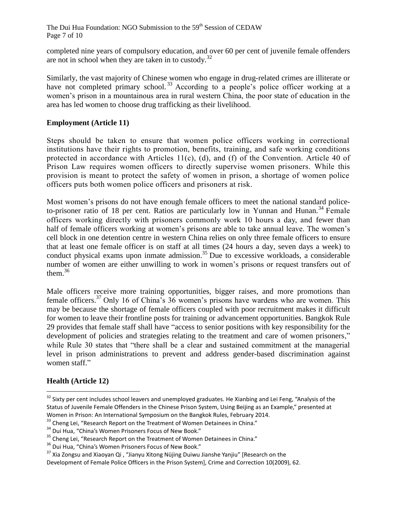completed nine years of compulsory education, and over 60 per cent of juvenile female offenders are not in school when they are taken in to custody.<sup>32</sup>

Similarly, the vast majority of Chinese women who engage in drug-related crimes are illiterate or have not completed primary school.<sup>33</sup> According to a people's police officer working at a women's prison in a mountainous area in rural western China, the poor state of education in the area has led women to choose drug trafficking as their livelihood.

# **Employment (Article 11)**

Steps should be taken to ensure that women police officers working in correctional institutions have their rights to promotion, benefits, training, and safe working conditions protected in accordance with Articles 11(c), (d), and (f) of the Convention. Article 40 of Prison Law requires women officers to directly supervise women prisoners. While this provision is meant to protect the safety of women in prison, a shortage of women police officers puts both women police officers and prisoners at risk.

Most women's prisons do not have enough female officers to meet the national standard policeto-prisoner ratio of 18 per cent. Ratios are particularly low in Yunnan and Hunan.<sup>34</sup> Female officers working directly with prisoners commonly work 10 hours a day, and fewer than half of female officers working at women's prisons are able to take annual leave. The women's cell block in one detention centre in western China relies on only three female officers to ensure that at least one female officer is on staff at all times (24 hours a day, seven days a week) to conduct physical exams upon inmate admission. <sup>35</sup> Due to excessive workloads, a considerable number of women are either unwilling to work in women's prisons or request transfers out of them. $36$ 

Male officers receive more training opportunities, bigger raises, and more promotions than female officers.<sup>37</sup> Only 16 of China's 36 women's prisons have wardens who are women. This may be because the shortage of female officers coupled with poor recruitment makes it difficult for women to leave their frontline posts for training or advancement opportunities. Bangkok Rule 29 provides that female staff shall have "access to senior positions with key responsibility for the development of policies and strategies relating to the treatment and care of women prisoners," while Rule 30 states that "there shall be a clear and sustained commitment at the managerial level in prison administrations to prevent and address gender-based discrimination against women staff."

## **Health (Article 12)**

<sup>&</sup>lt;sup>32</sup> Sixty per cent includes school leavers and unemployed graduates. He Xianbing and Lei Feng, "Analysis of the Status of Juvenile Female Offenders in the Chinese Prison System, Using Beijing as an Example," presented at Women in Prison: An International Symposium on the Bangkok Rules, February 2014.

<sup>&</sup>lt;sup>33</sup> Cheng Lei, "Research Report on the Treatment of Women Detainees in China."

<sup>&</sup>lt;sup>34</sup> Dui Hua, "China's Women Prisoners Focus of New Book."

<sup>&</sup>lt;sup>35</sup> Cheng Lei, "Research Report on the Treatment of Women Detainees in China."

<sup>&</sup>lt;sup>36</sup> Dui Hua, "China's Women Prisoners Focus of New Book."

<sup>&</sup>lt;sup>37</sup> Xia Zongsu and Xiaoyan Qi, "Jianyu Xitong Nüjing Duiwu Jianshe Yanjiu" [Research on the

Development of Female Police Officers in the Prison System], Crime and Correction 10(2009), 62.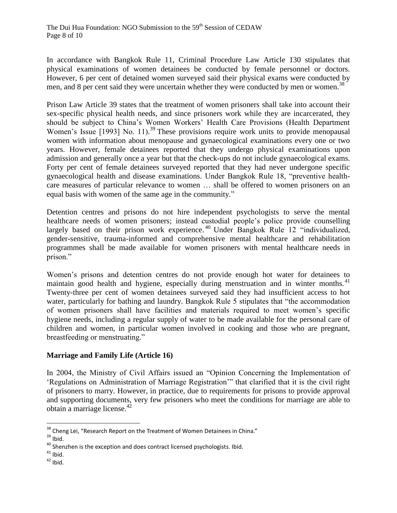In accordance with Bangkok Rule 11, Criminal Procedure Law Article 130 stipulates that physical examinations of women detainees be conducted by female personnel or doctors. However, 6 per cent of detained women surveyed said their physical exams were conducted by men, and 8 per cent said they were uncertain whether they were conducted by men or women.<sup>38</sup>

Prison Law Article 39 states that the treatment of women prisoners shall take into account their sex-specific physical health needs, and since prisoners work while they are incarcerated, they should be subject to China's Women Workers' Health Care Provisions (Health Department Women's Issue [1993] No. 11).<sup>39</sup> These provisions require work units to provide menopausal women with information about menopause and gynaecological examinations every one or two years. However, female detainees reported that they undergo physical examinations upon admission and generally once a year but that the check-ups do not include gynaecological exams. Forty per cent of female detainees surveyed reported that they had never undergone specific gynaecological health and disease examinations. Under Bangkok Rule 18, "preventive healthcare measures of particular relevance to women … shall be offered to women prisoners on an equal basis with women of the same age in the community."

Detention centres and prisons do not hire independent psychologists to serve the mental healthcare needs of women prisoners; instead custodial people's police provide counselling largely based on their prison work experience.<sup>40</sup> Under Bangkok Rule 12 "individualized, gender-sensitive, trauma-informed and comprehensive mental healthcare and rehabilitation programmes shall be made available for women prisoners with mental healthcare needs in prison."

Women's prisons and detention centres do not provide enough hot water for detainees to maintain good health and hygiene, especially during menstruation and in winter months.<sup>41</sup> Twenty-three per cent of women detainees surveyed said they had insufficient access to hot water, particularly for bathing and laundry. Bangkok Rule 5 stipulates that "the accommodation of women prisoners shall have facilities and materials required to meet women's specific hygiene needs, including a regular supply of water to be made available for the personal care of children and women, in particular women involved in cooking and those who are pregnant, breastfeeding or menstruating."

## **Marriage and Family Life (Article 16)**

In 2004, the Ministry of Civil Affairs issued an "Opinion Concerning the Implementation of 'Regulations on Administration of Marriage Registration'" that clarified that it is the civil right of prisoners to marry. However, in practice, due to requirements for prisons to provide approval and supporting documents, very few prisoners who meet the conditions for marriage are able to obtain a marriage license.<sup>42</sup>

 $\overline{a}$ <sup>38</sup> Cheng Lei, "Research Report on the Treatment of Women Detainees in China."

 $39$  Ibid.

 $40$  Shenzhen is the exception and does contract licensed psychologists. Ibid.

 $41$  Ibid.

 $42$  Ibid.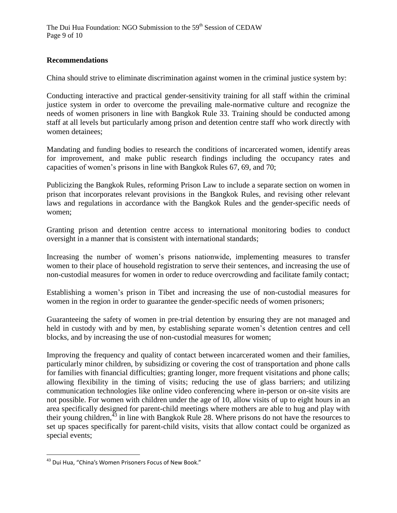## **Recommendations**

China should strive to eliminate discrimination against women in the criminal justice system by:

Conducting interactive and practical gender-sensitivity training for all staff within the criminal justice system in order to overcome the prevailing male-normative culture and recognize the needs of women prisoners in line with Bangkok Rule 33. Training should be conducted among staff at all levels but particularly among prison and detention centre staff who work directly with women detainees;

Mandating and funding bodies to research the conditions of incarcerated women, identify areas for improvement, and make public research findings including the occupancy rates and capacities of women's prisons in line with Bangkok Rules 67, 69, and 70;

Publicizing the Bangkok Rules, reforming Prison Law to include a separate section on women in prison that incorporates relevant provisions in the Bangkok Rules, and revising other relevant laws and regulations in accordance with the Bangkok Rules and the gender-specific needs of women;

Granting prison and detention centre access to international monitoring bodies to conduct oversight in a manner that is consistent with international standards;

Increasing the number of women's prisons nationwide, implementing measures to transfer women to their place of household registration to serve their sentences, and increasing the use of non-custodial measures for women in order to reduce overcrowding and facilitate family contact;

Establishing a women's prison in Tibet and increasing the use of non-custodial measures for women in the region in order to guarantee the gender-specific needs of women prisoners;

Guaranteeing the safety of women in pre-trial detention by ensuring they are not managed and held in custody with and by men, by establishing separate women's detention centres and cell blocks, and by increasing the use of non-custodial measures for women;

Improving the frequency and quality of contact between incarcerated women and their families, particularly minor children, by subsidizing or covering the cost of transportation and phone calls for families with financial difficulties; granting longer, more frequent visitations and phone calls; allowing flexibility in the timing of visits; reducing the use of glass barriers; and utilizing communication technologies like online video conferencing where in-person or on-site visits are not possible. For women with children under the age of 10, allow visits of up to eight hours in an area specifically designed for parent-child meetings where mothers are able to hug and play with their young children,  $43$  in line with Bangkok Rule 28. Where prisons do not have the resources to set up spaces specifically for parent-child visits, visits that allow contact could be organized as special events;

<sup>&</sup>lt;sup>43</sup> Dui Hua, "China's Women Prisoners Focus of New Book."